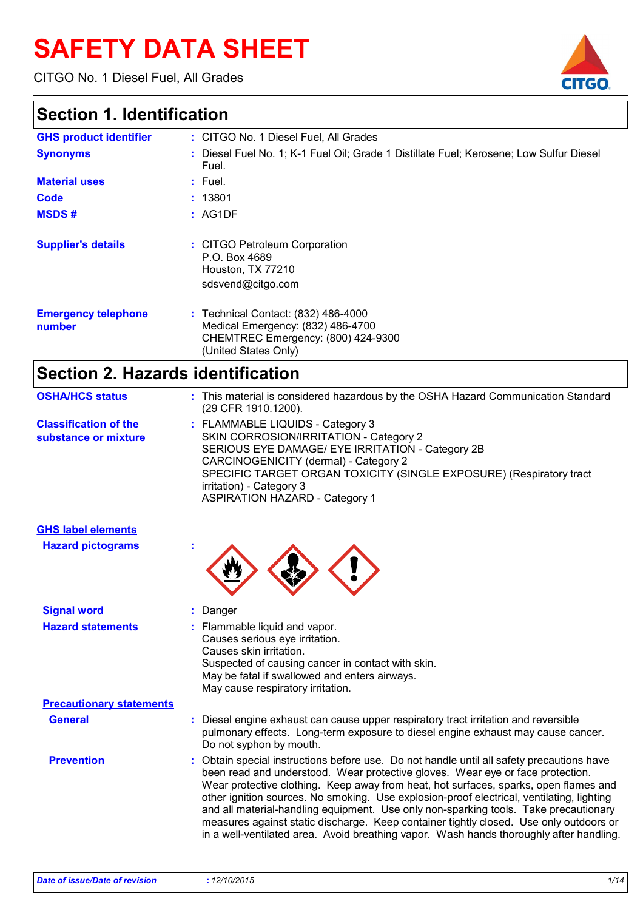# **SAFETY DATA SHEET**

CITGO No. 1 Diesel Fuel, All Grades



### **Section 1. Identification**

| <b>GHS product identifier</b>        | : CITGO No. 1 Diesel Fuel, All Grades                                                                                                  |
|--------------------------------------|----------------------------------------------------------------------------------------------------------------------------------------|
| <b>Synonyms</b>                      | : Diesel Fuel No. 1; K-1 Fuel Oil; Grade 1 Distillate Fuel; Kerosene; Low Sulfur Diesel<br>Fuel.                                       |
| <b>Material uses</b>                 | $:$ Fuel.                                                                                                                              |
| Code                                 | : 13801                                                                                                                                |
| <b>MSDS#</b>                         | : AG1DF                                                                                                                                |
| <b>Supplier's details</b>            | : CITGO Petroleum Corporation<br>P.O. Box 4689<br>Houston, TX 77210<br>sdsvend@citgo.com                                               |
| <b>Emergency telephone</b><br>number | : Technical Contact: (832) 486-4000<br>Medical Emergency: (832) 486-4700<br>CHEMTREC Emergency: (800) 424-9300<br>(United States Only) |
|                                      |                                                                                                                                        |

### **Section 2. Hazards identification**

| <b>OSHA/HCS status</b>                               | : This material is considered hazardous by the OSHA Hazard Communication Standard<br>(29 CFR 1910.1200).                                                                                                                                                                                                            |
|------------------------------------------------------|---------------------------------------------------------------------------------------------------------------------------------------------------------------------------------------------------------------------------------------------------------------------------------------------------------------------|
| <b>Classification of the</b><br>substance or mixture | : FLAMMABLE LIQUIDS - Category 3<br>SKIN CORROSION/IRRITATION - Category 2<br>SERIOUS EYE DAMAGE/ EYE IRRITATION - Category 2B<br>CARCINOGENICITY (dermal) - Category 2<br>SPECIFIC TARGET ORGAN TOXICITY (SINGLE EXPOSURE) (Respiratory tract<br>irritation) - Category 3<br><b>ASPIRATION HAZARD - Category 1</b> |

| <b>GHS label elements</b>       |                                                                                                                                                                                                                                                                                                                                                                                                                                                                                                                                                                                                                                               |
|---------------------------------|-----------------------------------------------------------------------------------------------------------------------------------------------------------------------------------------------------------------------------------------------------------------------------------------------------------------------------------------------------------------------------------------------------------------------------------------------------------------------------------------------------------------------------------------------------------------------------------------------------------------------------------------------|
| <b>Hazard pictograms</b>        |                                                                                                                                                                                                                                                                                                                                                                                                                                                                                                                                                                                                                                               |
| <b>Signal word</b>              | : Danger                                                                                                                                                                                                                                                                                                                                                                                                                                                                                                                                                                                                                                      |
| <b>Hazard statements</b>        | : Flammable liquid and vapor.<br>Causes serious eye irritation.<br>Causes skin irritation.<br>Suspected of causing cancer in contact with skin.<br>May be fatal if swallowed and enters airways.<br>May cause respiratory irritation.                                                                                                                                                                                                                                                                                                                                                                                                         |
| <b>Precautionary statements</b> |                                                                                                                                                                                                                                                                                                                                                                                                                                                                                                                                                                                                                                               |
| <b>General</b>                  | : Diesel engine exhaust can cause upper respiratory tract irritation and reversible<br>pulmonary effects. Long-term exposure to diesel engine exhaust may cause cancer.<br>Do not syphon by mouth.                                                                                                                                                                                                                                                                                                                                                                                                                                            |
| <b>Prevention</b>               | : Obtain special instructions before use. Do not handle until all safety precautions have<br>been read and understood. Wear protective gloves. Wear eye or face protection.<br>Wear protective clothing. Keep away from heat, hot surfaces, sparks, open flames and<br>other ignition sources. No smoking. Use explosion-proof electrical, ventilating, lighting<br>and all material-handling equipment. Use only non-sparking tools. Take precautionary<br>measures against static discharge. Keep container tightly closed. Use only outdoors or<br>in a well-ventilated area. Avoid breathing vapor. Wash hands thoroughly after handling. |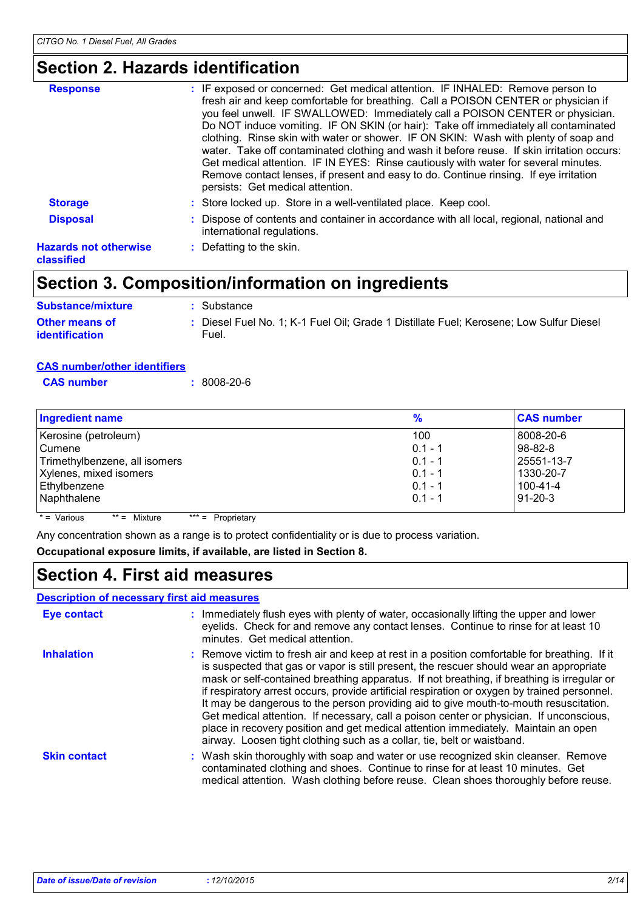### **Section 2. Hazards identification**

| <b>Response</b>                            | : IF exposed or concerned: Get medical attention. IF INHALED: Remove person to<br>fresh air and keep comfortable for breathing. Call a POISON CENTER or physician if<br>you feel unwell. IF SWALLOWED: Immediately call a POISON CENTER or physician.<br>Do NOT induce vomiting. IF ON SKIN (or hair): Take off immediately all contaminated<br>clothing. Rinse skin with water or shower. IF ON SKIN: Wash with plenty of soap and<br>water. Take off contaminated clothing and wash it before reuse. If skin irritation occurs:<br>Get medical attention. IF IN EYES: Rinse cautiously with water for several minutes.<br>Remove contact lenses, if present and easy to do. Continue rinsing. If eye irritation<br>persists: Get medical attention. |
|--------------------------------------------|-------------------------------------------------------------------------------------------------------------------------------------------------------------------------------------------------------------------------------------------------------------------------------------------------------------------------------------------------------------------------------------------------------------------------------------------------------------------------------------------------------------------------------------------------------------------------------------------------------------------------------------------------------------------------------------------------------------------------------------------------------|
| <b>Storage</b>                             | : Store locked up. Store in a well-ventilated place. Keep cool.                                                                                                                                                                                                                                                                                                                                                                                                                                                                                                                                                                                                                                                                                       |
| <b>Disposal</b>                            | : Dispose of contents and container in accordance with all local, regional, national and<br>international regulations.                                                                                                                                                                                                                                                                                                                                                                                                                                                                                                                                                                                                                                |
| <b>Hazards not otherwise</b><br>classified | : Defatting to the skin.                                                                                                                                                                                                                                                                                                                                                                                                                                                                                                                                                                                                                                                                                                                              |
|                                            |                                                                                                                                                                                                                                                                                                                                                                                                                                                                                                                                                                                                                                                                                                                                                       |

### **Section 3. Composition/information on ingredients**

| <b>Substance/mixture</b>                       | : Substance                                                                                      |
|------------------------------------------------|--------------------------------------------------------------------------------------------------|
| <b>Other means of</b><br><b>identification</b> | : Diesel Fuel No. 1; K-1 Fuel Oil; Grade 1 Distillate Fuel; Kerosene; Low Sulfur Diesel<br>Fuel. |

#### **CAS number/other identifiers**

| <b>CAS number</b> | $:8008-20-6$ |  |
|-------------------|--------------|--|
|                   |              |  |

| <b>Ingredient name</b>        | %         | <b>CAS number</b> |
|-------------------------------|-----------|-------------------|
| Kerosine (petroleum)          | 100       | 8008-20-6         |
| l Cumene                      | $0.1 - 1$ | $98 - 82 - 8$     |
| Trimethylbenzene, all isomers | $0.1 - 1$ | 25551-13-7        |
| Xylenes, mixed isomers        | $0.1 - 1$ | 1330-20-7         |
| Ethylbenzene                  | $0.1 - 1$ | 100-41-4          |
| Naphthalene                   | $0.1 - 1$ | $91 - 20 - 3$     |
|                               |           |                   |

 $* = \text{Various}$  \*\* = Mixture \*\*\* = Proprietary

Any concentration shown as a range is to protect confidentiality or is due to process variation.

#### **Occupational exposure limits, if available, are listed in Section 8.**

### **Section 4. First aid measures**

#### **Description of necessary first aid measures**

| <b>Eye contact</b>  | : Immediately flush eyes with plenty of water, occasionally lifting the upper and lower<br>eyelids. Check for and remove any contact lenses. Continue to rinse for at least 10<br>minutes. Get medical attention.                                                                                                                                                                                                                                                                                                                                                                                                                                                                                                                          |
|---------------------|--------------------------------------------------------------------------------------------------------------------------------------------------------------------------------------------------------------------------------------------------------------------------------------------------------------------------------------------------------------------------------------------------------------------------------------------------------------------------------------------------------------------------------------------------------------------------------------------------------------------------------------------------------------------------------------------------------------------------------------------|
| <b>Inhalation</b>   | : Remove victim to fresh air and keep at rest in a position comfortable for breathing. If it<br>is suspected that gas or vapor is still present, the rescuer should wear an appropriate<br>mask or self-contained breathing apparatus. If not breathing, if breathing is irregular or<br>if respiratory arrest occurs, provide artificial respiration or oxygen by trained personnel.<br>It may be dangerous to the person providing aid to give mouth-to-mouth resuscitation.<br>Get medical attention. If necessary, call a poison center or physician. If unconscious,<br>place in recovery position and get medical attention immediately. Maintain an open<br>airway. Loosen tight clothing such as a collar, tie, belt or waistband. |
| <b>Skin contact</b> | : Wash skin thoroughly with soap and water or use recognized skin cleanser. Remove<br>contaminated clothing and shoes. Continue to rinse for at least 10 minutes. Get<br>medical attention. Wash clothing before reuse. Clean shoes thoroughly before reuse.                                                                                                                                                                                                                                                                                                                                                                                                                                                                               |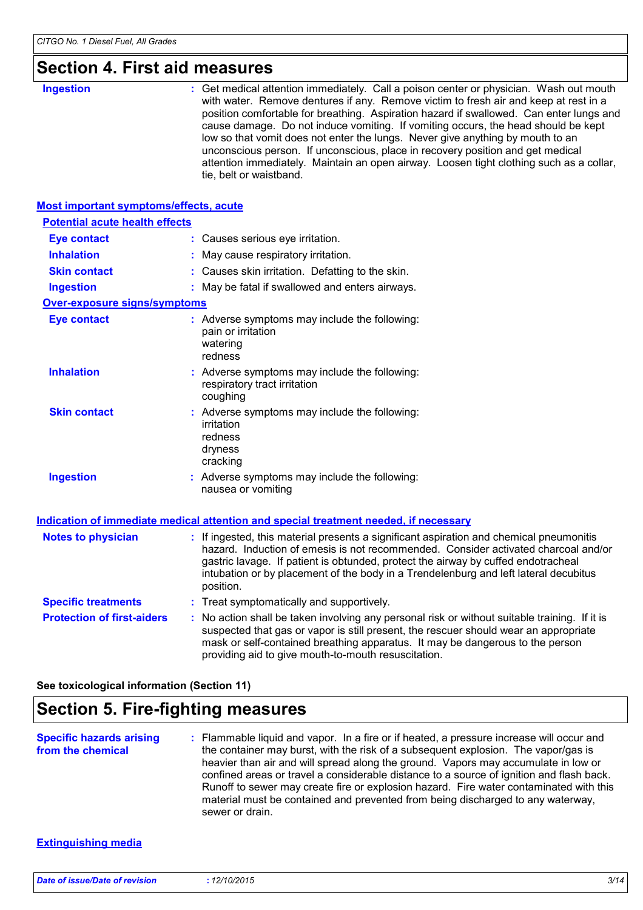### **Section 4. First aid measures**

| SECUOII 4. FIISL AIU IIIEASUIES               |                                                                                                                                                                                                                                                                                                                                                                                                                                                                                                                                                                                                                                                          |
|-----------------------------------------------|----------------------------------------------------------------------------------------------------------------------------------------------------------------------------------------------------------------------------------------------------------------------------------------------------------------------------------------------------------------------------------------------------------------------------------------------------------------------------------------------------------------------------------------------------------------------------------------------------------------------------------------------------------|
| <b>Ingestion</b>                              | : Get medical attention immediately. Call a poison center or physician. Wash out mouth<br>with water. Remove dentures if any. Remove victim to fresh air and keep at rest in a<br>position comfortable for breathing. Aspiration hazard if swallowed. Can enter lungs and<br>cause damage. Do not induce vomiting. If vomiting occurs, the head should be kept<br>low so that vomit does not enter the lungs. Never give anything by mouth to an<br>unconscious person. If unconscious, place in recovery position and get medical<br>attention immediately. Maintain an open airway. Loosen tight clothing such as a collar,<br>tie, belt or waistband. |
| <b>Most important symptoms/effects, acute</b> |                                                                                                                                                                                                                                                                                                                                                                                                                                                                                                                                                                                                                                                          |
| <b>Potential acute health effects</b>         |                                                                                                                                                                                                                                                                                                                                                                                                                                                                                                                                                                                                                                                          |
| <b>Eye contact</b>                            | : Causes serious eye irritation.                                                                                                                                                                                                                                                                                                                                                                                                                                                                                                                                                                                                                         |
| <b>Inhalation</b>                             | : May cause respiratory irritation.                                                                                                                                                                                                                                                                                                                                                                                                                                                                                                                                                                                                                      |
| <b>Skin contact</b>                           | : Causes skin irritation. Defatting to the skin.                                                                                                                                                                                                                                                                                                                                                                                                                                                                                                                                                                                                         |
| <b>Ingestion</b>                              | : May be fatal if swallowed and enters airways.                                                                                                                                                                                                                                                                                                                                                                                                                                                                                                                                                                                                          |
| Over-exposure signs/symptoms                  |                                                                                                                                                                                                                                                                                                                                                                                                                                                                                                                                                                                                                                                          |
| <b>Eye contact</b>                            | : Adverse symptoms may include the following:<br>pain or irritation<br>watering<br>redness                                                                                                                                                                                                                                                                                                                                                                                                                                                                                                                                                               |
| <b>Inhalation</b>                             | : Adverse symptoms may include the following:<br>respiratory tract irritation<br>coughing                                                                                                                                                                                                                                                                                                                                                                                                                                                                                                                                                                |
| <b>Skin contact</b>                           | : Adverse symptoms may include the following:<br>irritation<br>redness<br>dryness<br>cracking                                                                                                                                                                                                                                                                                                                                                                                                                                                                                                                                                            |
| <b>Ingestion</b>                              | : Adverse symptoms may include the following:<br>nausea or vomiting                                                                                                                                                                                                                                                                                                                                                                                                                                                                                                                                                                                      |
|                                               | Indication of immediate medical attention and special treatment needed, if necessary                                                                                                                                                                                                                                                                                                                                                                                                                                                                                                                                                                     |
| <b>Notes to physician</b>                     | : If ingested, this material presents a significant aspiration and chemical pneumonitis<br>hazard. Induction of emesis is not recommended. Consider activated charcoal and/or<br>gastric lavage. If patient is obtunded, protect the airway by cuffed endotracheal<br>intubation or by placement of the body in a Trendelenburg and left lateral decubitus<br>position.                                                                                                                                                                                                                                                                                  |
| <b>Specific treatments</b>                    | : Treat symptomatically and supportively.                                                                                                                                                                                                                                                                                                                                                                                                                                                                                                                                                                                                                |
| <b>Protection of first-aiders</b>             | : No action shall be taken involving any personal risk or without suitable training. If it is<br>suspected that gas or vapor is still present, the rescuer should wear an appropriate<br>mask or self-contained breathing apparatus. It may be dangerous to the person<br>providing aid to give mouth-to-mouth resuscitation.                                                                                                                                                                                                                                                                                                                            |

**See toxicological information (Section 11)**

### **Section 5. Fire-fighting measures**

| <b>Specific hazards arising</b> | : Flammable liquid and vapor. In a fire or if heated, a pressure increase will occur and                                                                                                                                                                                                                                                                                                                                                                             |
|---------------------------------|----------------------------------------------------------------------------------------------------------------------------------------------------------------------------------------------------------------------------------------------------------------------------------------------------------------------------------------------------------------------------------------------------------------------------------------------------------------------|
| from the chemical               | the container may burst, with the risk of a subsequent explosion. The vapor/gas is<br>heavier than air and will spread along the ground. Vapors may accumulate in low or<br>confined areas or travel a considerable distance to a source of ignition and flash back.<br>Runoff to sewer may create fire or explosion hazard. Fire water contaminated with this<br>material must be contained and prevented from being discharged to any waterway,<br>sewer or drain. |

#### **Extinguishing media**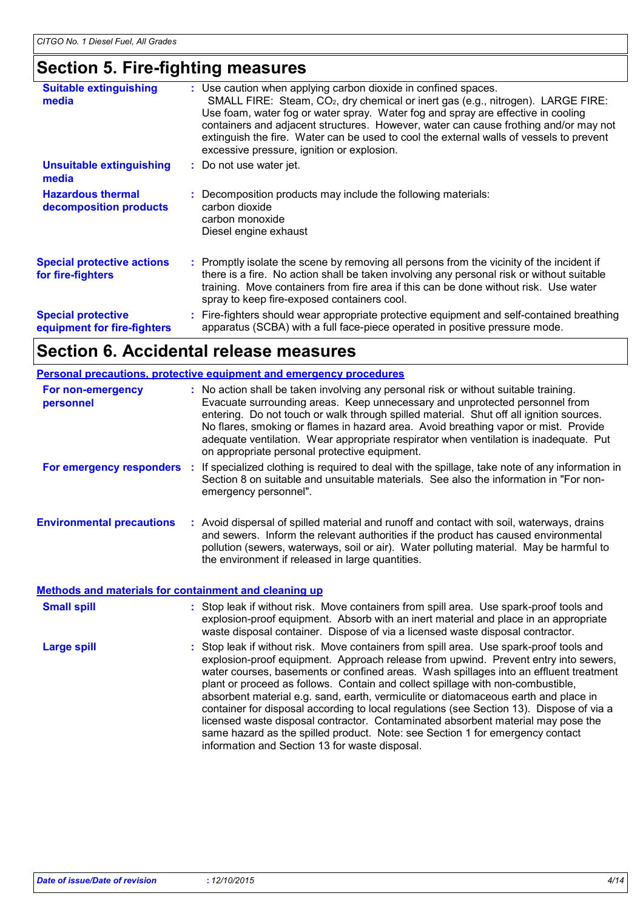### **Section 5. Fire-fighting measures**

| <b>Suitable extinguishing</b><br>media                   | : Use caution when applying carbon dioxide in confined spaces.<br>SMALL FIRE: Steam, CO <sub>2</sub> , dry chemical or inert gas (e.g., nitrogen). LARGE FIRE:<br>Use foam, water fog or water spray. Water fog and spray are effective in cooling<br>containers and adjacent structures. However, water can cause frothing and/or may not<br>extinguish the fire. Water can be used to cool the external walls of vessels to prevent<br>excessive pressure, ignition or explosion. |  |
|----------------------------------------------------------|-------------------------------------------------------------------------------------------------------------------------------------------------------------------------------------------------------------------------------------------------------------------------------------------------------------------------------------------------------------------------------------------------------------------------------------------------------------------------------------|--|
| <b>Unsuitable extinguishing</b><br>media                 | : Do not use water jet.                                                                                                                                                                                                                                                                                                                                                                                                                                                             |  |
| <b>Hazardous thermal</b><br>decomposition products       | : Decomposition products may include the following materials:<br>carbon dioxide<br>carbon monoxide<br>Diesel engine exhaust                                                                                                                                                                                                                                                                                                                                                         |  |
| <b>Special protective actions</b><br>for fire-fighters   | : Promptly isolate the scene by removing all persons from the vicinity of the incident if<br>there is a fire. No action shall be taken involving any personal risk or without suitable<br>training. Move containers from fire area if this can be done without risk. Use water<br>spray to keep fire-exposed containers cool.                                                                                                                                                       |  |
| <b>Special protective</b><br>equipment for fire-fighters | : Fire-fighters should wear appropriate protective equipment and self-contained breathing<br>apparatus (SCBA) with a full face-piece operated in positive pressure mode.                                                                                                                                                                                                                                                                                                            |  |

### **Section 6. Accidental release measures**

| Personal precautions, protective equipment and emergency procedures                              |                                                                                                                                                                                                                                                                                                                                                                                                                                                                                                                                                                                                                                                                                                                                                                      |  |  |
|--------------------------------------------------------------------------------------------------|----------------------------------------------------------------------------------------------------------------------------------------------------------------------------------------------------------------------------------------------------------------------------------------------------------------------------------------------------------------------------------------------------------------------------------------------------------------------------------------------------------------------------------------------------------------------------------------------------------------------------------------------------------------------------------------------------------------------------------------------------------------------|--|--|
| For non-emergency<br>personnel                                                                   | : No action shall be taken involving any personal risk or without suitable training.<br>Evacuate surrounding areas. Keep unnecessary and unprotected personnel from<br>entering. Do not touch or walk through spilled material. Shut off all ignition sources.<br>No flares, smoking or flames in hazard area. Avoid breathing vapor or mist. Provide<br>adequate ventilation. Wear appropriate respirator when ventilation is inadequate. Put<br>on appropriate personal protective equipment.                                                                                                                                                                                                                                                                      |  |  |
| For emergency responders :                                                                       | If specialized clothing is required to deal with the spillage, take note of any information in<br>Section 8 on suitable and unsuitable materials. See also the information in "For non-<br>emergency personnel".                                                                                                                                                                                                                                                                                                                                                                                                                                                                                                                                                     |  |  |
| <b>Environmental precautions</b><br><b>Methods and materials for containment and cleaning up</b> | : Avoid dispersal of spilled material and runoff and contact with soil, waterways, drains<br>and sewers. Inform the relevant authorities if the product has caused environmental<br>pollution (sewers, waterways, soil or air). Water polluting material. May be harmful to<br>the environment if released in large quantities.                                                                                                                                                                                                                                                                                                                                                                                                                                      |  |  |
| <b>Small spill</b>                                                                               | : Stop leak if without risk. Move containers from spill area. Use spark-proof tools and<br>explosion-proof equipment. Absorb with an inert material and place in an appropriate<br>waste disposal container. Dispose of via a licensed waste disposal contractor.                                                                                                                                                                                                                                                                                                                                                                                                                                                                                                    |  |  |
| <b>Large spill</b>                                                                               | : Stop leak if without risk. Move containers from spill area. Use spark-proof tools and<br>explosion-proof equipment. Approach release from upwind. Prevent entry into sewers,<br>water courses, basements or confined areas. Wash spillages into an effluent treatment<br>plant or proceed as follows. Contain and collect spillage with non-combustible,<br>absorbent material e.g. sand, earth, vermiculite or diatomaceous earth and place in<br>container for disposal according to local regulations (see Section 13). Dispose of via a<br>licensed waste disposal contractor. Contaminated absorbent material may pose the<br>same hazard as the spilled product. Note: see Section 1 for emergency contact<br>information and Section 13 for waste disposal. |  |  |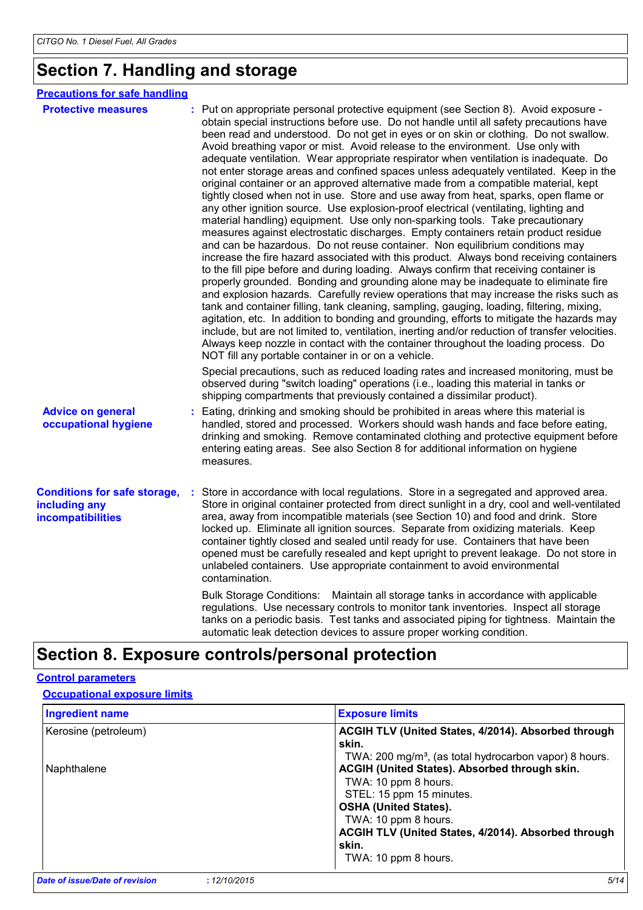### **Section 7. Handling and storage**

| <b>Precautions for safe handling</b>                                      |   |                                                                                                                                                                                                                                                                                                                                                                                                                                                                                                                                                                                                                                                                                                                                                                                                                                                                                                                                                                                                                                                                                                                                                                                                                                                                                                                                                                                                                                                                                                                                                                                                                                                                                                                                                                                                                                                                                                                                                                               |
|---------------------------------------------------------------------------|---|-------------------------------------------------------------------------------------------------------------------------------------------------------------------------------------------------------------------------------------------------------------------------------------------------------------------------------------------------------------------------------------------------------------------------------------------------------------------------------------------------------------------------------------------------------------------------------------------------------------------------------------------------------------------------------------------------------------------------------------------------------------------------------------------------------------------------------------------------------------------------------------------------------------------------------------------------------------------------------------------------------------------------------------------------------------------------------------------------------------------------------------------------------------------------------------------------------------------------------------------------------------------------------------------------------------------------------------------------------------------------------------------------------------------------------------------------------------------------------------------------------------------------------------------------------------------------------------------------------------------------------------------------------------------------------------------------------------------------------------------------------------------------------------------------------------------------------------------------------------------------------------------------------------------------------------------------------------------------------|
| <b>Protective measures</b>                                                |   | Put on appropriate personal protective equipment (see Section 8). Avoid exposure -<br>obtain special instructions before use. Do not handle until all safety precautions have<br>been read and understood. Do not get in eyes or on skin or clothing. Do not swallow.<br>Avoid breathing vapor or mist. Avoid release to the environment. Use only with<br>adequate ventilation. Wear appropriate respirator when ventilation is inadequate. Do<br>not enter storage areas and confined spaces unless adequately ventilated. Keep in the<br>original container or an approved alternative made from a compatible material, kept<br>tightly closed when not in use. Store and use away from heat, sparks, open flame or<br>any other ignition source. Use explosion-proof electrical (ventilating, lighting and<br>material handling) equipment. Use only non-sparking tools. Take precautionary<br>measures against electrostatic discharges. Empty containers retain product residue<br>and can be hazardous. Do not reuse container. Non equilibrium conditions may<br>increase the fire hazard associated with this product. Always bond receiving containers<br>to the fill pipe before and during loading. Always confirm that receiving container is<br>properly grounded. Bonding and grounding alone may be inadequate to eliminate fire<br>and explosion hazards. Carefully review operations that may increase the risks such as<br>tank and container filling, tank cleaning, sampling, gauging, loading, filtering, mixing,<br>agitation, etc. In addition to bonding and grounding, efforts to mitigate the hazards may<br>include, but are not limited to, ventilation, inerting and/or reduction of transfer velocities.<br>Always keep nozzle in contact with the container throughout the loading process. Do<br>NOT fill any portable container in or on a vehicle.<br>Special precautions, such as reduced loading rates and increased monitoring, must be |
|                                                                           |   | observed during "switch loading" operations (i.e., loading this material in tanks or<br>shipping compartments that previously contained a dissimilar product).                                                                                                                                                                                                                                                                                                                                                                                                                                                                                                                                                                                                                                                                                                                                                                                                                                                                                                                                                                                                                                                                                                                                                                                                                                                                                                                                                                                                                                                                                                                                                                                                                                                                                                                                                                                                                |
| <b>Advice on general</b><br>occupational hygiene                          |   | Eating, drinking and smoking should be prohibited in areas where this material is<br>handled, stored and processed. Workers should wash hands and face before eating,<br>drinking and smoking. Remove contaminated clothing and protective equipment before<br>entering eating areas. See also Section 8 for additional information on hygiene<br>measures.                                                                                                                                                                                                                                                                                                                                                                                                                                                                                                                                                                                                                                                                                                                                                                                                                                                                                                                                                                                                                                                                                                                                                                                                                                                                                                                                                                                                                                                                                                                                                                                                                   |
| <b>Conditions for safe storage,</b><br>including any<br>incompatibilities | ÷ | Store in accordance with local regulations. Store in a segregated and approved area.<br>Store in original container protected from direct sunlight in a dry, cool and well-ventilated<br>area, away from incompatible materials (see Section 10) and food and drink. Store<br>locked up. Eliminate all ignition sources. Separate from oxidizing materials. Keep<br>container tightly closed and sealed until ready for use. Containers that have been<br>opened must be carefully resealed and kept upright to prevent leakage. Do not store in<br>unlabeled containers. Use appropriate containment to avoid environmental<br>contamination.                                                                                                                                                                                                                                                                                                                                                                                                                                                                                                                                                                                                                                                                                                                                                                                                                                                                                                                                                                                                                                                                                                                                                                                                                                                                                                                                |
|                                                                           |   | Bulk Storage Conditions: Maintain all storage tanks in accordance with applicable<br>regulations. Use necessary controls to monitor tank inventories. Inspect all storage<br>tanks on a periodic basis. Test tanks and associated piping for tightness. Maintain the<br>automatic leak detection devices to assure proper working condition.                                                                                                                                                                                                                                                                                                                                                                                                                                                                                                                                                                                                                                                                                                                                                                                                                                                                                                                                                                                                                                                                                                                                                                                                                                                                                                                                                                                                                                                                                                                                                                                                                                  |

### **Section 8. Exposure controls/personal protection**

### **Control parameters**

#### **Occupational exposure limits**

| <b>Ingredient name</b> | <b>Exposure limits</b>                                             |
|------------------------|--------------------------------------------------------------------|
| Kerosine (petroleum)   | ACGIH TLV (United States, 4/2014). Absorbed through<br>skin.       |
|                        | TWA: 200 mg/m <sup>3</sup> , (as total hydrocarbon vapor) 8 hours. |
| Naphthalene            | ACGIH (United States). Absorbed through skin.                      |
|                        | TWA: 10 ppm 8 hours.                                               |
|                        | STEL: 15 ppm 15 minutes.                                           |
|                        | <b>OSHA (United States).</b>                                       |
|                        | TWA: 10 ppm 8 hours.                                               |
|                        | ACGIH TLV (United States, 4/2014). Absorbed through                |
|                        | skin.                                                              |
|                        | TWA: 10 ppm 8 hours.                                               |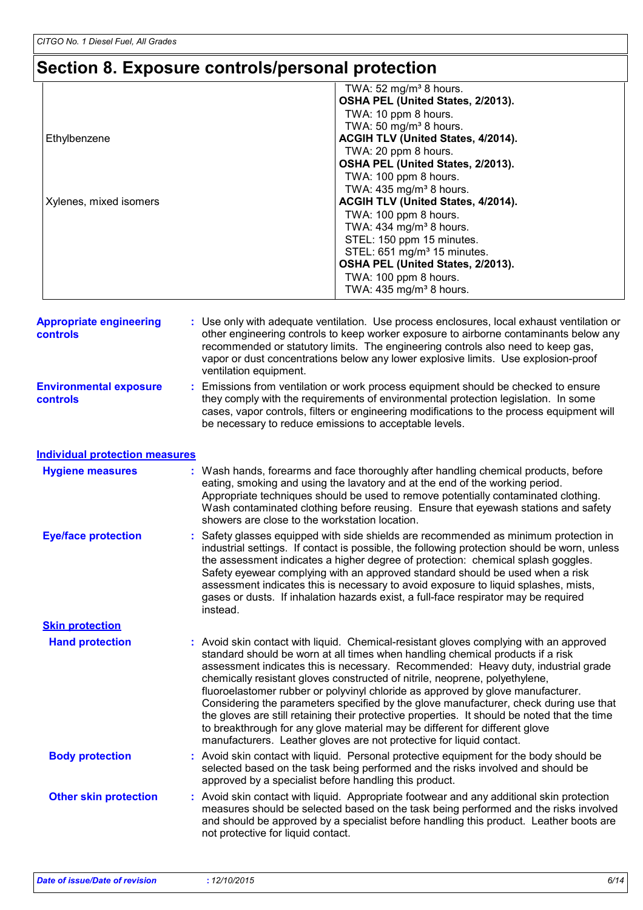# **Section 8. Exposure controls/personal protection**

|                        | TWA: 52 mg/m <sup>3</sup> 8 hours.      |
|------------------------|-----------------------------------------|
|                        | OSHA PEL (United States, 2/2013).       |
|                        | TWA: 10 ppm 8 hours.                    |
|                        | TWA: 50 mg/m <sup>3</sup> 8 hours.      |
| Ethylbenzene           | ACGIH TLV (United States, 4/2014).      |
|                        | TWA: 20 ppm 8 hours.                    |
|                        | OSHA PEL (United States, 2/2013).       |
|                        | TWA: 100 ppm 8 hours.                   |
|                        | TWA: $435$ mg/m <sup>3</sup> 8 hours.   |
| Xylenes, mixed isomers | ACGIH TLV (United States, 4/2014).      |
|                        | TWA: 100 ppm 8 hours.                   |
|                        | TWA: $434$ mg/m <sup>3</sup> 8 hours.   |
|                        | STEL: 150 ppm 15 minutes.               |
|                        | STEL: 651 mg/m <sup>3</sup> 15 minutes. |
|                        | OSHA PEL (United States, 2/2013).       |
|                        | TWA: 100 ppm 8 hours.                   |
|                        | TWA: 435 mg/m <sup>3</sup> 8 hours.     |

| <b>Appropriate engineering</b><br>controls | : Use only with adequate ventilation. Use process enclosures, local exhaust ventilation or<br>other engineering controls to keep worker exposure to airborne contaminants below any<br>recommended or statutory limits. The engineering controls also need to keep gas,<br>vapor or dust concentrations below any lower explosive limits. Use explosion-proof<br>ventilation equipment. |
|--------------------------------------------|-----------------------------------------------------------------------------------------------------------------------------------------------------------------------------------------------------------------------------------------------------------------------------------------------------------------------------------------------------------------------------------------|
| <b>Environmental exposure</b><br>controls  | Emissions from ventilation or work process equipment should be checked to ensure<br>they comply with the requirements of environmental protection legislation. In some<br>cases, vapor controls, filters or engineering modifications to the process equipment will<br>be necessary to reduce emissions to acceptable levels.                                                           |

| <b>Individual protection measures</b> |  |
|---------------------------------------|--|
|                                       |  |

| <b>Hygiene measures</b>      | : Wash hands, forearms and face thoroughly after handling chemical products, before<br>eating, smoking and using the lavatory and at the end of the working period.<br>Appropriate techniques should be used to remove potentially contaminated clothing.<br>Wash contaminated clothing before reusing. Ensure that eyewash stations and safety<br>showers are close to the workstation location.                                                                                                                                                                                                                                                                                                                                                                               |
|------------------------------|---------------------------------------------------------------------------------------------------------------------------------------------------------------------------------------------------------------------------------------------------------------------------------------------------------------------------------------------------------------------------------------------------------------------------------------------------------------------------------------------------------------------------------------------------------------------------------------------------------------------------------------------------------------------------------------------------------------------------------------------------------------------------------|
| <b>Eye/face protection</b>   | : Safety glasses equipped with side shields are recommended as minimum protection in<br>industrial settings. If contact is possible, the following protection should be worn, unless<br>the assessment indicates a higher degree of protection: chemical splash goggles.<br>Safety eyewear complying with an approved standard should be used when a risk<br>assessment indicates this is necessary to avoid exposure to liquid splashes, mists,<br>gases or dusts. If inhalation hazards exist, a full-face respirator may be required<br>instead.                                                                                                                                                                                                                             |
| <b>Skin protection</b>       |                                                                                                                                                                                                                                                                                                                                                                                                                                                                                                                                                                                                                                                                                                                                                                                 |
| <b>Hand protection</b>       | : Avoid skin contact with liquid. Chemical-resistant gloves complying with an approved<br>standard should be worn at all times when handling chemical products if a risk<br>assessment indicates this is necessary. Recommended: Heavy duty, industrial grade<br>chemically resistant gloves constructed of nitrile, neoprene, polyethylene,<br>fluoroelastomer rubber or polyvinyl chloride as approved by glove manufacturer.<br>Considering the parameters specified by the glove manufacturer, check during use that<br>the gloves are still retaining their protective properties. It should be noted that the time<br>to breakthrough for any glove material may be different for different glove<br>manufacturers. Leather gloves are not protective for liquid contact. |
| <b>Body protection</b>       | : Avoid skin contact with liquid. Personal protective equipment for the body should be<br>selected based on the task being performed and the risks involved and should be<br>approved by a specialist before handling this product.                                                                                                                                                                                                                                                                                                                                                                                                                                                                                                                                             |
| <b>Other skin protection</b> | : Avoid skin contact with liquid. Appropriate footwear and any additional skin protection<br>measures should be selected based on the task being performed and the risks involved<br>and should be approved by a specialist before handling this product. Leather boots are<br>not protective for liquid contact.                                                                                                                                                                                                                                                                                                                                                                                                                                                               |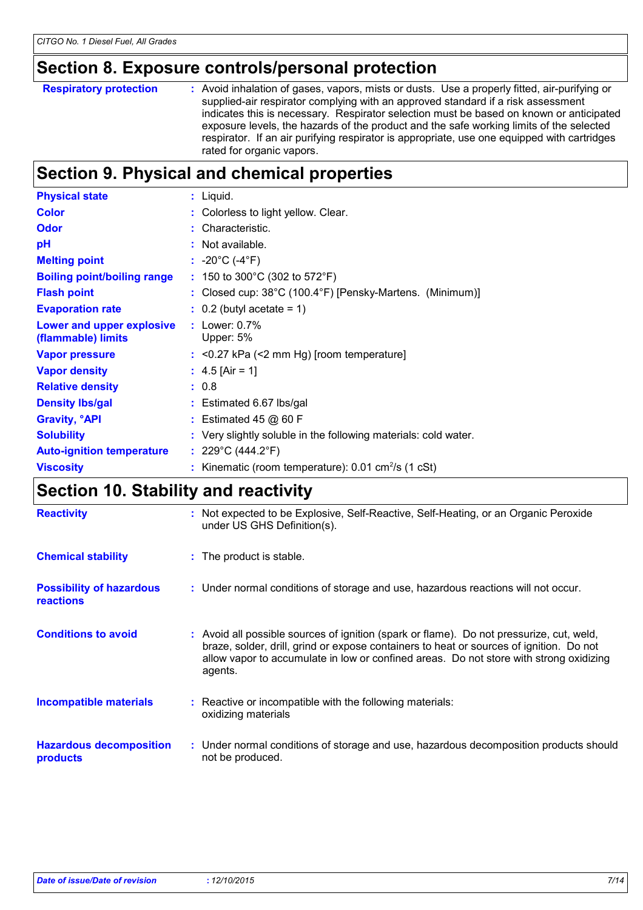### **Section 8. Exposure controls/personal protection**

| <b>Respiratory protection</b> | : Avoid inhalation of gases, vapors, mists or dusts. Use a properly fitted, air-purifying or<br>supplied-air respirator complying with an approved standard if a risk assessment<br>indicates this is necessary. Respirator selection must be based on known or anticipated<br>exposure levels, the hazards of the product and the safe working limits of the selected<br>respirator. If an air purifying respirator is appropriate, use one equipped with cartridges<br>rated for organic vapors. |
|-------------------------------|----------------------------------------------------------------------------------------------------------------------------------------------------------------------------------------------------------------------------------------------------------------------------------------------------------------------------------------------------------------------------------------------------------------------------------------------------------------------------------------------------|
|                               |                                                                                                                                                                                                                                                                                                                                                                                                                                                                                                    |

### **Section 9. Physical and chemical properties**

| <b>Physical state</b>                           | $:$ Liquid.                                                          |
|-------------------------------------------------|----------------------------------------------------------------------|
| <b>Color</b>                                    | : Colorless to light yellow. Clear.                                  |
| <b>Odor</b>                                     | : Characteristic.                                                    |
| рH                                              | : Not available.                                                     |
| <b>Melting point</b>                            | : $-20^{\circ}$ C (-4 $^{\circ}$ F)                                  |
| <b>Boiling point/boiling range</b>              | : 150 to 300°C (302 to 572°F)                                        |
| <b>Flash point</b>                              | : Closed cup: $38^{\circ}$ C (100.4°F) [Pensky-Martens. (Minimum)]   |
| <b>Evaporation rate</b>                         | $\therefore$ 0.2 (butyl acetate = 1)                                 |
| Lower and upper explosive<br>(flammable) limits | : Lower: $0.7\%$<br>Upper: 5%                                        |
| <b>Vapor pressure</b>                           | $:$ <0.27 kPa (<2 mm Hg) [room temperature]                          |
| <b>Vapor density</b>                            | : $4.5$ [Air = 1]                                                    |
| <b>Relative density</b>                         | : 0.8                                                                |
| <b>Density Ibs/gal</b>                          | : Estimated 6.67 lbs/gal                                             |
| <b>Gravity, <sup>o</sup>API</b>                 | $:$ Estimated 45 @ 60 F                                              |
| <b>Solubility</b>                               | : Very slightly soluble in the following materials: cold water.      |
| <b>Auto-ignition temperature</b>                | : $229^{\circ}$ C (444.2 $^{\circ}$ F)                               |
| <b>Viscosity</b>                                | : Kinematic (room temperature): $0.01 \text{ cm}^2/\text{s}$ (1 cSt) |

### **Section 10. Stability and reactivity**

| <b>Reactivity</b>                                   | : Not expected to be Explosive, Self-Reactive, Self-Heating, or an Organic Peroxide<br>under US GHS Definition(s).                                                                                                                                                                       |  |
|-----------------------------------------------------|------------------------------------------------------------------------------------------------------------------------------------------------------------------------------------------------------------------------------------------------------------------------------------------|--|
| <b>Chemical stability</b>                           | : The product is stable.                                                                                                                                                                                                                                                                 |  |
| <b>Possibility of hazardous</b><br><b>reactions</b> | : Under normal conditions of storage and use, hazardous reactions will not occur.                                                                                                                                                                                                        |  |
| <b>Conditions to avoid</b>                          | : Avoid all possible sources of ignition (spark or flame). Do not pressurize, cut, weld,<br>braze, solder, drill, grind or expose containers to heat or sources of ignition. Do not<br>allow vapor to accumulate in low or confined areas. Do not store with strong oxidizing<br>agents. |  |
| <b>Incompatible materials</b>                       | : Reactive or incompatible with the following materials:<br>oxidizing materials                                                                                                                                                                                                          |  |
| <b>Hazardous decomposition</b><br>products          | : Under normal conditions of storage and use, hazardous decomposition products should<br>not be produced.                                                                                                                                                                                |  |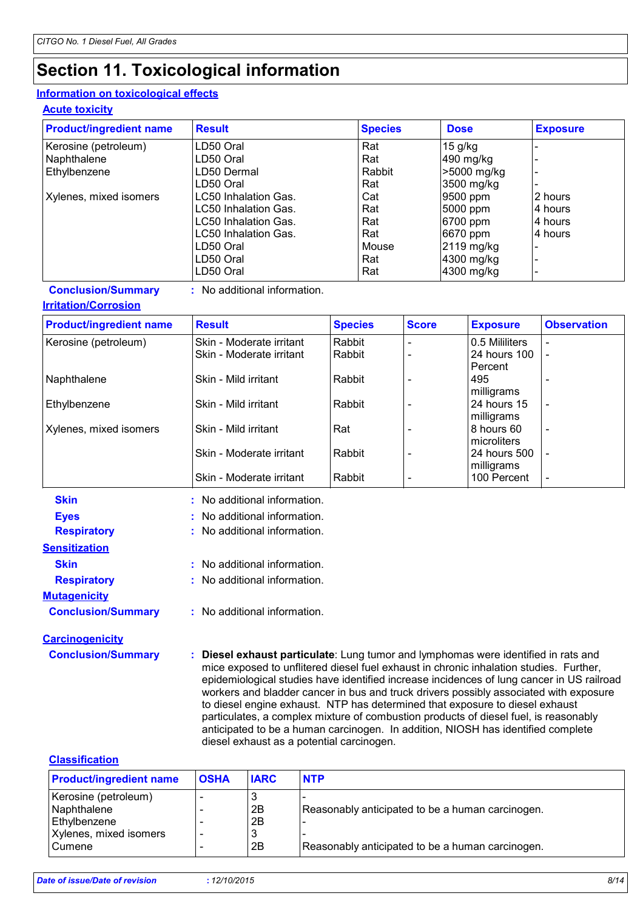### **Section 11. Toxicological information**

#### **Information on toxicological effects**

**Acute toxicity**

| <b>Product/ingredient name</b> | <b>Result</b>        | <b>Species</b> | <b>Dose</b> | <b>Exposure</b> |
|--------------------------------|----------------------|----------------|-------------|-----------------|
| Kerosine (petroleum)           | LD50 Oral            | Rat            | $15$ g/kg   |                 |
| Naphthalene                    | LD50 Oral            | Rat            | 490 mg/kg   |                 |
| Ethylbenzene                   | LD50 Dermal          | Rabbit         | >5000 mg/kg |                 |
|                                | LD50 Oral            | Rat            | 3500 mg/kg  |                 |
| Xylenes, mixed isomers         | LC50 Inhalation Gas. | Cat            | 9500 ppm    | 2 hours         |
|                                | LC50 Inhalation Gas. | Rat            | 5000 ppm    | l4 hours        |
|                                | LC50 Inhalation Gas. | Rat            | 6700 ppm    | l4 hours        |
|                                | LC50 Inhalation Gas. | Rat            | 6670 ppm    | 4 hours         |
|                                | LD50 Oral            | Mouse          | 2119 mg/kg  |                 |
|                                | LD50 Oral            | Rat            | 4300 mg/kg  |                 |
|                                | LD50 Oral            | Rat            | 4300 mg/kg  |                 |

**Conclusion/Summary :** No additional information.

#### **Irritation/Corrosion**

| <b>Product/ingredient name</b> | <b>Result</b>            | <b>Species</b> | <b>Score</b> | <b>Exposure</b> | <b>Observation</b> |  |
|--------------------------------|--------------------------|----------------|--------------|-----------------|--------------------|--|
| Kerosine (petroleum)           | Skin - Moderate irritant | Rabbit         |              | 0.5 Mililiters  | $\blacksquare$     |  |
|                                | Skin - Moderate irritant | Rabbit         |              | 24 hours 100    | $\overline{a}$     |  |
|                                |                          |                |              | Percent         |                    |  |
| Naphthalene                    | Skin - Mild irritant     | Rabbit         |              | 495             |                    |  |
|                                |                          |                |              | milligrams      |                    |  |
| Ethylbenzene                   | Skin - Mild irritant     | Rabbit         |              | 24 hours 15     | $\overline{a}$     |  |
|                                |                          |                |              | milligrams      |                    |  |
| Xylenes, mixed isomers         | Skin - Mild irritant     | Rat            |              | 8 hours 60      | $\blacksquare$     |  |
|                                |                          |                |              | microliters     |                    |  |
|                                | Skin - Moderate irritant | Rabbit         |              | 24 hours 500    |                    |  |
|                                |                          |                |              | milligrams      |                    |  |
|                                | Skin - Moderate irritant | Rabbit         |              | 100 Percent     |                    |  |

| Skin                      | $:$ No additional information.   |
|---------------------------|----------------------------------|
| <b>Eyes</b>               | $\pm$ No additional information. |
| <b>Respiratory</b>        | : No additional information.     |
| <b>Sensitization</b>      |                                  |
| <b>Skin</b>               | : No additional information.     |
| <b>Respiratory</b>        | $:$ No additional information.   |
| <b>Mutagenicity</b>       |                                  |
| <b>Conclusion/Summary</b> | : No additional information.     |
|                           |                                  |

**Conclusion/Summary : Diesel exhaust particulate**: Lung tumor and lymphomas were identified in rats and mice exposed to unflitered diesel fuel exhaust in chronic inhalation studies. Further, epidemiological studies have identified increase incidences of lung cancer in US railroad workers and bladder cancer in bus and truck drivers possibly associated with exposure to diesel engine exhaust. NTP has determined that exposure to diesel exhaust particulates, a complex mixture of combustion products of diesel fuel, is reasonably anticipated to be a human carcinogen. In addition, NIOSH has identified complete diesel exhaust as a potential carcinogen.

#### **Classification**

**Carcinogenicity**

| <b>Product/ingredient name</b> | <b>OSHA</b> | <b>IARC</b> | <b>NTP</b>                                       |
|--------------------------------|-------------|-------------|--------------------------------------------------|
| Kerosine (petroleum)           |             | 3           |                                                  |
| Naphthalene                    |             | 2B          | Reasonably anticipated to be a human carcinogen. |
| Ethylbenzene                   |             | 2B          |                                                  |
| Xylenes, mixed isomers         |             | 3           |                                                  |
| Cumene                         |             | 2B          | Reasonably anticipated to be a human carcinogen. |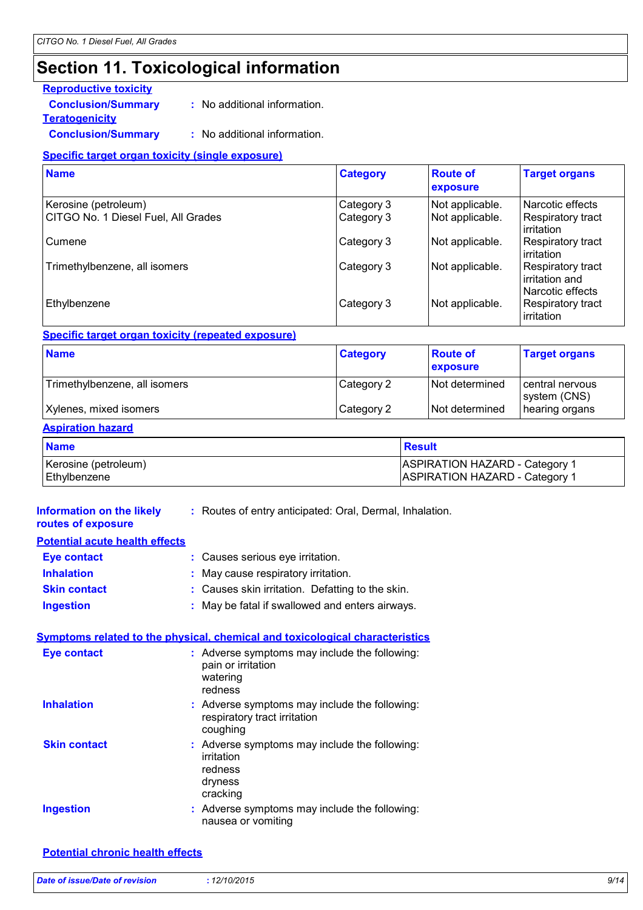### **Section 11. Toxicological information**

#### **Reproductive toxicity**

**Conclusion/Summary :** No additional information.

**Teratogenicity**

**Conclusion/Summary :** No additional information.

#### **Specific target organ toxicity (single exposure)**

| <b>Name</b>                         | <b>Category</b> | <b>Route of</b><br>exposure | <b>Target organs</b>                                    |
|-------------------------------------|-----------------|-----------------------------|---------------------------------------------------------|
| Kerosine (petroleum)                | Category 3      | Not applicable.             | Narcotic effects                                        |
| CITGO No. 1 Diesel Fuel, All Grades | Category 3      | Not applicable.             | Respiratory tract<br>irritation                         |
| Cumene                              | Category 3      | Not applicable.             | Respiratory tract<br>irritation                         |
| Trimethylbenzene, all isomers       | Category 3      | Not applicable.             | Respiratory tract<br>irritation and<br>Narcotic effects |
| Ethylbenzene                        | Category 3      | Not applicable.             | Respiratory tract<br>irritation                         |

**Specific target organ toxicity (repeated exposure)**

| <b>Name</b>                   | <b>Category</b> | <b>Route of</b><br>exposure | <b>Target organs</b>            |
|-------------------------------|-----------------|-----------------------------|---------------------------------|
| Trimethylbenzene, all isomers | Category 2      | Not determined              | central nervous<br>system (CNS) |
| Xylenes, mixed isomers        | Category 2      | Not determined              | hearing organs                  |

#### **Aspiration hazard**

| <b>Name</b>          | Result                                |
|----------------------|---------------------------------------|
| Kerosine (petroleum) | <b>ASPIRATION HAZARD - Category 1</b> |
| Ethylbenzene         | <b>ASPIRATION HAZARD - Category 1</b> |

| Information on the likely<br>routes of exposure | : Routes of entry anticipated: Oral, Dermal, Inhalation.                                      |
|-------------------------------------------------|-----------------------------------------------------------------------------------------------|
| <b>Potential acute health effects</b>           |                                                                                               |
| <b>Eye contact</b>                              | : Causes serious eye irritation.                                                              |
| <b>Inhalation</b>                               | May cause respiratory irritation.                                                             |
| <b>Skin contact</b>                             | : Causes skin irritation. Defatting to the skin.                                              |
| <b>Ingestion</b>                                | May be fatal if swallowed and enters airways.                                                 |
|                                                 | Symptoms related to the physical, chemical and toxicological characteristics                  |
| <b>Eye contact</b>                              | : Adverse symptoms may include the following:<br>pain or irritation<br>watering<br>redness    |
| <b>Inhalation</b>                               | : Adverse symptoms may include the following:<br>respiratory tract irritation<br>coughing     |
| <b>Skin contact</b>                             | : Adverse symptoms may include the following:<br>irritation<br>redness<br>dryness<br>cracking |
| <b>Ingestion</b>                                | : Adverse symptoms may include the following:<br>nausea or vomiting                           |

**Potential chronic health effects**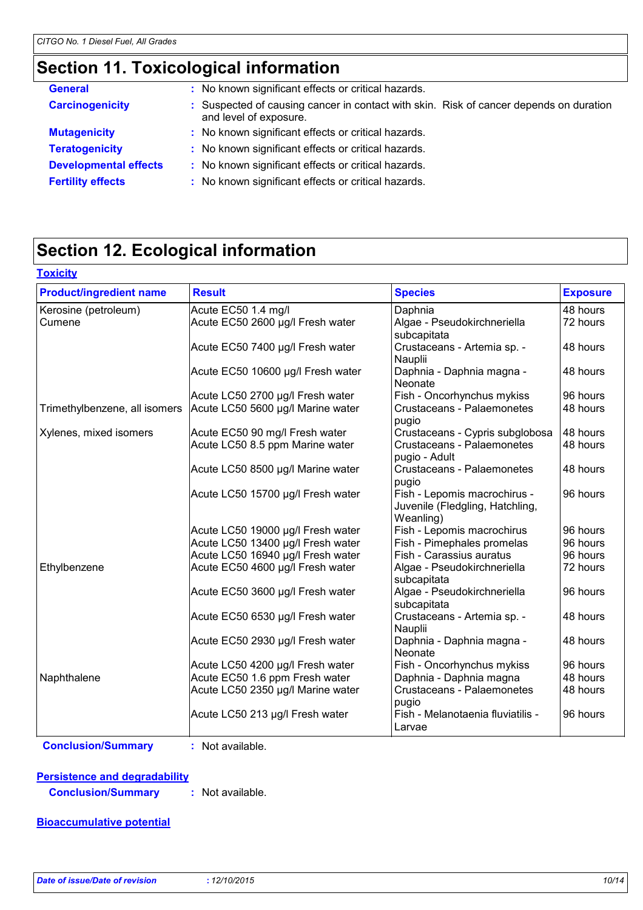### **Section 11. Toxicological information**

| <b>General</b>               | : No known significant effects or critical hazards.                                                              |
|------------------------------|------------------------------------------------------------------------------------------------------------------|
| <b>Carcinogenicity</b>       | : Suspected of causing cancer in contact with skin. Risk of cancer depends on duration<br>and level of exposure. |
| <b>Mutagenicity</b>          | : No known significant effects or critical hazards.                                                              |
| <b>Teratogenicity</b>        | : No known significant effects or critical hazards.                                                              |
| <b>Developmental effects</b> | : No known significant effects or critical hazards.                                                              |
| <b>Fertility effects</b>     | : No known significant effects or critical hazards.                                                              |
|                              |                                                                                                                  |

### **Section 12. Ecological information**

| <b>Product/ingredient name</b> | <b>Result</b>                     | <b>Species</b>                                                               | <b>Exposure</b> |
|--------------------------------|-----------------------------------|------------------------------------------------------------------------------|-----------------|
| Kerosine (petroleum)           | Acute EC50 1.4 mg/l               | Daphnia                                                                      | 48 hours        |
| Cumene                         | Acute EC50 2600 µg/l Fresh water  | Algae - Pseudokirchneriella<br>subcapitata                                   | 72 hours        |
|                                | Acute EC50 7400 µg/l Fresh water  | Crustaceans - Artemia sp. -<br>Nauplii                                       | 48 hours        |
|                                | Acute EC50 10600 µg/l Fresh water | Daphnia - Daphnia magna -<br>Neonate                                         | 48 hours        |
|                                | Acute LC50 2700 µg/l Fresh water  | Fish - Oncorhynchus mykiss                                                   | 96 hours        |
| Trimethylbenzene, all isomers  | Acute LC50 5600 µg/l Marine water | Crustaceans - Palaemonetes<br>pugio                                          | 48 hours        |
| Xylenes, mixed isomers         | Acute EC50 90 mg/l Fresh water    | Crustaceans - Cypris subglobosa                                              | 48 hours        |
|                                | Acute LC50 8.5 ppm Marine water   | Crustaceans - Palaemonetes<br>pugio - Adult                                  | 48 hours        |
|                                | Acute LC50 8500 µg/l Marine water | Crustaceans - Palaemonetes<br>pugio                                          | 48 hours        |
|                                | Acute LC50 15700 µg/l Fresh water | Fish - Lepomis macrochirus -<br>Juvenile (Fledgling, Hatchling,<br>Weanling) | 96 hours        |
|                                | Acute LC50 19000 µg/l Fresh water | Fish - Lepomis macrochirus                                                   | 96 hours        |
|                                | Acute LC50 13400 µg/l Fresh water | Fish - Pimephales promelas                                                   | 96 hours        |
|                                | Acute LC50 16940 µg/l Fresh water | Fish - Carassius auratus                                                     | 96 hours        |
| Ethylbenzene                   | Acute EC50 4600 µg/l Fresh water  | Algae - Pseudokirchneriella<br>subcapitata                                   | 72 hours        |
|                                | Acute EC50 3600 µg/l Fresh water  | Algae - Pseudokirchneriella<br>subcapitata                                   | 96 hours        |
|                                | Acute EC50 6530 µg/l Fresh water  | Crustaceans - Artemia sp. -<br>Nauplii                                       | 48 hours        |
|                                | Acute EC50 2930 µg/l Fresh water  | Daphnia - Daphnia magna -<br>Neonate                                         | 48 hours        |
|                                | Acute LC50 4200 µg/l Fresh water  | Fish - Oncorhynchus mykiss                                                   | 96 hours        |
| Naphthalene                    | Acute EC50 1.6 ppm Fresh water    | Daphnia - Daphnia magna                                                      | 48 hours        |
|                                | Acute LC50 2350 µg/l Marine water | Crustaceans - Palaemonetes<br>pugio                                          | 48 hours        |
|                                | Acute LC50 213 µg/l Fresh water   | Fish - Melanotaenia fluviatilis -<br>Larvae                                  | 96 hours        |

**Conclusion/Summary :** Not available.

**Persistence and degradability**

**Conclusion/Summary :** Not available.

#### **Bioaccumulative potential**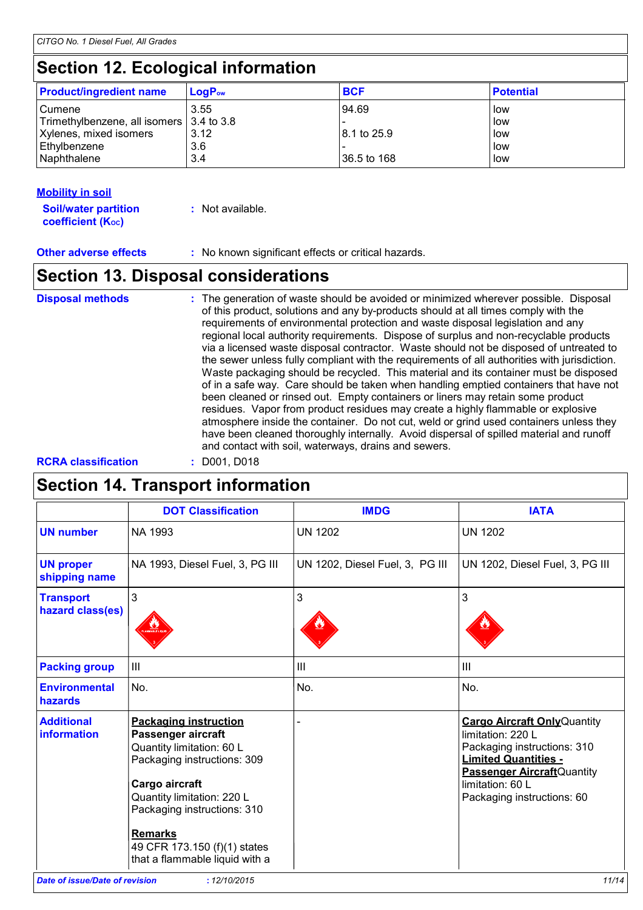### **Section 12. Ecological information**

| <b>Product/ingredient name</b>             | $\mathsf{LogP}_\mathsf{ow}$ | <b>BCF</b>  | <b>Potential</b> |
|--------------------------------------------|-----------------------------|-------------|------------------|
| Cumene                                     | 3.55                        | 94.69       | low              |
| Trimethylbenzene, all isomers   3.4 to 3.8 |                             |             | low              |
| Xylenes, mixed isomers                     | 3.12                        | 8.1 to 25.9 | low              |
| Ethylbenzene                               | 3.6                         |             | low              |
| Naphthalene                                | 3.4                         | 36.5 to 168 | low              |

#### **Mobility in soil**

| <b>Soil/water partition</b> | : Not available. |
|-----------------------------|------------------|
| <b>coefficient (Koc)</b>    |                  |

**Other adverse effects :** No known significant effects or critical hazards.

### **Section 13. Disposal considerations**

The generation of waste should be avoided or minimized wherever possible. Disposal of this product, solutions and any by-products should at all times comply with the requirements of environmental protection and waste disposal legislation and any regional local authority requirements. Dispose of surplus and non-recyclable products via a licensed waste disposal contractor. Waste should not be disposed of untreated to the sewer unless fully compliant with the requirements of all authorities with jurisdiction. Waste packaging should be recycled. This material and its container must be disposed of in a safe way. Care should be taken when handling emptied containers that have not been cleaned or rinsed out. Empty containers or liners may retain some product residues. Vapor from product residues may create a highly flammable or explosive atmosphere inside the container. Do not cut, weld or grind used containers unless they have been cleaned thoroughly internally. Avoid dispersal of spilled material and runoff and contact with soil, waterways, drains and sewers. **Disposal methods :**

#### **RCRA classification :** D001, D018

### **Section 14. Transport information**

|                                         | <b>DOT Classification</b>                                                                                                                                                                                                                                                         | <b>IMDG</b>                     | <b>IATA</b>                                                                                                                                                                                                    |
|-----------------------------------------|-----------------------------------------------------------------------------------------------------------------------------------------------------------------------------------------------------------------------------------------------------------------------------------|---------------------------------|----------------------------------------------------------------------------------------------------------------------------------------------------------------------------------------------------------------|
| <b>UN number</b>                        | NA 1993                                                                                                                                                                                                                                                                           | <b>UN 1202</b>                  | <b>UN 1202</b>                                                                                                                                                                                                 |
| <b>UN proper</b><br>shipping name       | NA 1993, Diesel Fuel, 3, PG III                                                                                                                                                                                                                                                   | UN 1202, Diesel Fuel, 3, PG III | UN 1202, Diesel Fuel, 3, PG III                                                                                                                                                                                |
| <b>Transport</b><br>hazard class(es)    | 3                                                                                                                                                                                                                                                                                 | 3                               | 3                                                                                                                                                                                                              |
| <b>Packing group</b>                    | $\mathbf{III}$                                                                                                                                                                                                                                                                    | Ш                               | III                                                                                                                                                                                                            |
| <b>Environmental</b><br>hazards         | No.                                                                                                                                                                                                                                                                               | No.                             | No.                                                                                                                                                                                                            |
| <b>Additional</b><br><b>information</b> | <b>Packaging instruction</b><br>Passenger aircraft<br>Quantity limitation: 60 L<br>Packaging instructions: 309<br>Cargo aircraft<br>Quantity limitation: 220 L<br>Packaging instructions: 310<br><b>Remarks</b><br>49 CFR 173.150 (f)(1) states<br>that a flammable liquid with a |                                 | <b>Cargo Aircraft Only Quantity</b><br>limitation: 220 L<br>Packaging instructions: 310<br><b>Limited Quantities -</b><br><b>Passenger Aircraft Quantity</b><br>limitation: 60 L<br>Packaging instructions: 60 |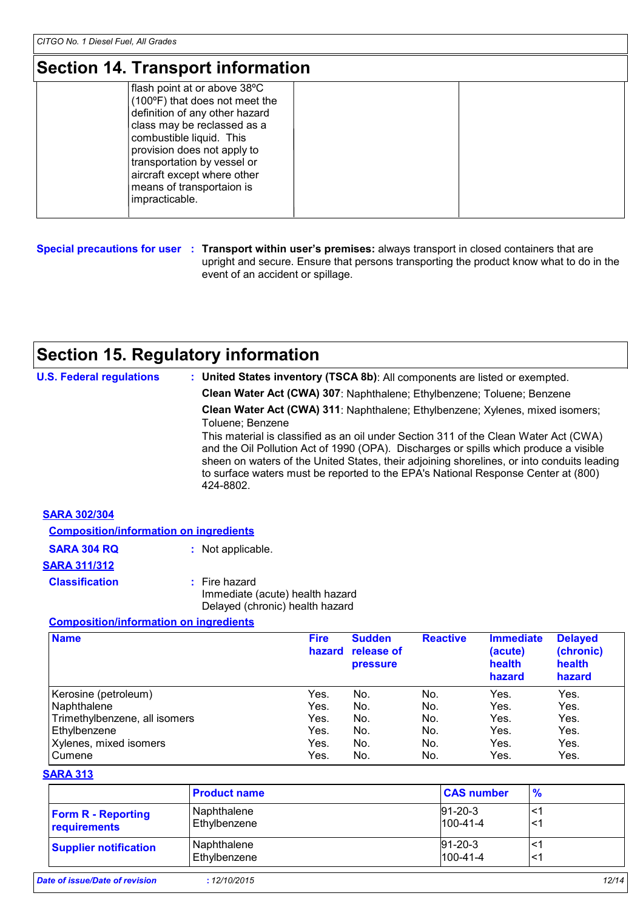### **Section 14. Transport information**

| flash point at or above 38°C<br>$(100^{\circ}F)$ that does not meet the<br>definition of any other hazard |  |
|-----------------------------------------------------------------------------------------------------------|--|
| class may be reclassed as a<br>combustible liquid. This<br>provision does not apply to                    |  |
| transportation by vessel or<br>aircraft except where other<br>means of transportaion is<br>impracticable. |  |

**Special precautions for user Transport within user's premises:** always transport in closed containers that are **:** upright and secure. Ensure that persons transporting the product know what to do in the event of an accident or spillage.

## **Section 15. Regulatory information**

| <b>U.S. Federal regulations</b> | : United States inventory (TSCA 8b): All components are listed or exempted.                                                                                                                                                                                                                                                                                                   |
|---------------------------------|-------------------------------------------------------------------------------------------------------------------------------------------------------------------------------------------------------------------------------------------------------------------------------------------------------------------------------------------------------------------------------|
|                                 | Clean Water Act (CWA) 307: Naphthalene; Ethylbenzene; Toluene; Benzene                                                                                                                                                                                                                                                                                                        |
|                                 | Clean Water Act (CWA) 311: Naphthalene; Ethylbenzene; Xylenes, mixed isomers;<br>Toluene; Benzene                                                                                                                                                                                                                                                                             |
|                                 | This material is classified as an oil under Section 311 of the Clean Water Act (CWA)<br>and the Oil Pollution Act of 1990 (OPA). Discharges or spills which produce a visible<br>sheen on waters of the United States, their adjoining shorelines, or into conduits leading<br>to surface waters must be reported to the EPA's National Response Center at (800)<br>424-8802. |
| <b>SARA 302/304</b>             |                                                                                                                                                                                                                                                                                                                                                                               |

| <b>Composition/information on ingredients</b> |                                                                                       |
|-----------------------------------------------|---------------------------------------------------------------------------------------|
| <b>SARA 304 RQ</b>                            | : Not applicable.                                                                     |
| <b>SARA 311/312</b>                           |                                                                                       |
| <b>Classification</b>                         | $:$ Fire hazard<br>Immediate (acute) health hazard<br>Delayed (chronic) health hazard |

#### **Composition/information on ingredients**

| <b>Name</b>                   | <b>Fire</b><br>hazard | <b>Sudden</b><br>release of<br><b>pressure</b> | <b>Reactive</b> | <b>Immediate</b><br>(acute)<br>health<br>hazard | <b>Delayed</b><br>(chronic)<br>health<br>hazard |
|-------------------------------|-----------------------|------------------------------------------------|-----------------|-------------------------------------------------|-------------------------------------------------|
| Kerosine (petroleum)          | Yes.                  | No.                                            | No.             | Yes.                                            | Yes.                                            |
| Naphthalene                   | Yes.                  | No.                                            | No.             | Yes.                                            | Yes.                                            |
| Trimethylbenzene, all isomers | Yes.                  | No.                                            | No.             | Yes.                                            | Yes.                                            |
| Ethylbenzene                  | Yes.                  | No.                                            | No.             | Yes.                                            | Yes.                                            |
| Xylenes, mixed isomers        | Yes.                  | No.                                            | No.             | Yes.                                            | Yes.                                            |
| Cumene                        | Yes.                  | No.                                            | No.             | Yes.                                            | Yes.                                            |

#### **SARA 313**

|                                           | <b>Product name</b>         | <b>CAS number</b>               | $\frac{9}{6}$ |
|-------------------------------------------|-----------------------------|---------------------------------|---------------|
| <b>Form R - Reporting</b><br>requirements | Naphthalene<br>Ethylbenzene | $91 - 20 - 3$<br>$100 - 41 - 4$ | <1            |
| <b>Supplier notification</b>              | Naphthalene<br>Ethylbenzene | $91 - 20 - 3$<br>$100 - 41 - 4$ | <^            |
| Date of issue/Date of revision            | : 12/10/2015                |                                 | 12/14         |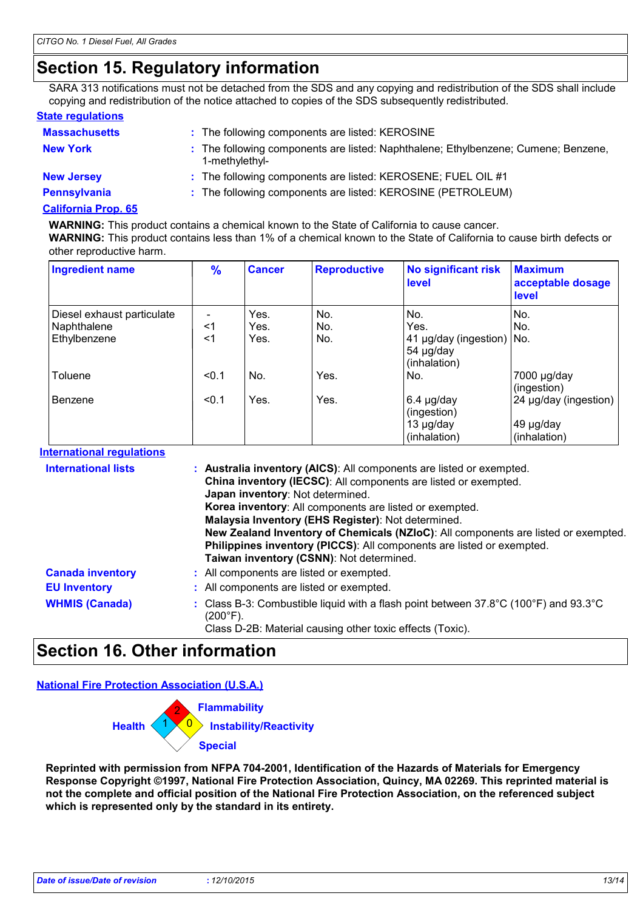### **Section 15. Regulatory information**

SARA 313 notifications must not be detached from the SDS and any copying and redistribution of the SDS shall include copying and redistribution of the notice attached to copies of the SDS subsequently redistributed.

#### **State regulations**

| <b>Massachusetts</b> | : The following components are listed: KEROSINE                                                      |
|----------------------|------------------------------------------------------------------------------------------------------|
| <b>New York</b>      | : The following components are listed: Naphthalene; Ethylbenzene; Cumene; Benzene,<br>1-methylethyl- |
| <b>New Jersey</b>    | : The following components are listed: KEROSENE; FUEL OIL #1                                         |
| <b>Pennsylvania</b>  | : The following components are listed: KEROSINE (PETROLEUM)                                          |
| California Pron 65   |                                                                                                      |

#### **California Prop. 65**

**WARNING:** This product contains a chemical known to the State of California to cause cancer. **WARNING:** This product contains less than 1% of a chemical known to the State of California to cause birth defects or other reproductive harm.

| <b>Ingredient name</b>     | $\frac{9}{6}$ | <b>Cancer</b> | <b>Reproductive</b> | <b>No significant risk</b><br>level                              | <b>Maximum</b><br>acceptable dosage<br><b>level</b> |
|----------------------------|---------------|---------------|---------------------|------------------------------------------------------------------|-----------------------------------------------------|
| Diesel exhaust particulate |               | Yes.          | No.                 | No.                                                              | No.                                                 |
| Naphthalene                | <1            | Yes.          | No.                 | Yes.                                                             | No.                                                 |
| Ethylbenzene               | <1            | Yes.          | No.                 | 41 µg/day (ingestion) No.<br>54 µg/day<br>(inhalation)           |                                                     |
| Toluene                    | < 0.1         | No.           | Yes.                | INo.                                                             | 7000 µg/day<br>(ingestion)                          |
| Benzene                    | < 0.1         | Yes.          | Yes.                | $6.4 \mu g/day$<br>(ingestion)<br>$13 \mu g/day$<br>(inhalation) | 24 µg/day (ingestion)<br>49 µg/day<br>(inhalation)  |

#### **International regulations**

| <b>International lists</b> | : Australia inventory (AICS): All components are listed or exempted.<br>China inventory (IECSC): All components are listed or exempted.<br>Japan inventory: Not determined.<br><b>Korea inventory:</b> All components are listed or exempted.<br>Malaysia Inventory (EHS Register): Not determined.<br>New Zealand Inventory of Chemicals (NZIoC): All components are listed or exempted.<br>Philippines inventory (PICCS): All components are listed or exempted.<br>Taiwan inventory (CSNN): Not determined. |
|----------------------------|----------------------------------------------------------------------------------------------------------------------------------------------------------------------------------------------------------------------------------------------------------------------------------------------------------------------------------------------------------------------------------------------------------------------------------------------------------------------------------------------------------------|
| <b>Canada inventory</b>    | : All components are listed or exempted.                                                                                                                                                                                                                                                                                                                                                                                                                                                                       |
| <b>EU Inventory</b>        | : All components are listed or exempted.                                                                                                                                                                                                                                                                                                                                                                                                                                                                       |
| <b>WHMIS (Canada)</b>      | : Class B-3: Combustible liquid with a flash point between $37.8^{\circ}$ C (100 $^{\circ}$ F) and 93.3 $^{\circ}$ C<br>(200°F).<br>Class D-2B: Material causing other toxic effects (Toxic).                                                                                                                                                                                                                                                                                                                  |

### **Section 16. Other information**

**National Fire Protection Association (U.S.A.)**



**Reprinted with permission from NFPA 704-2001, Identification of the Hazards of Materials for Emergency Response Copyright ©1997, National Fire Protection Association, Quincy, MA 02269. This reprinted material is not the complete and official position of the National Fire Protection Association, on the referenced subject which is represented only by the standard in its entirety.**